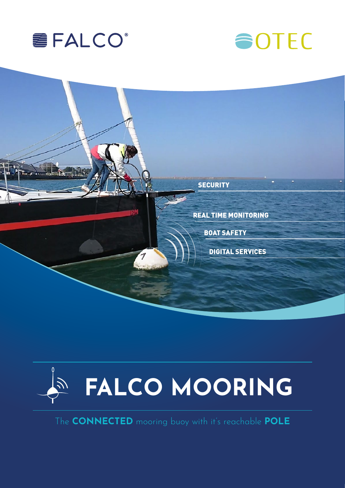







The CONNECTED mooring buoy with it's reachable POLE